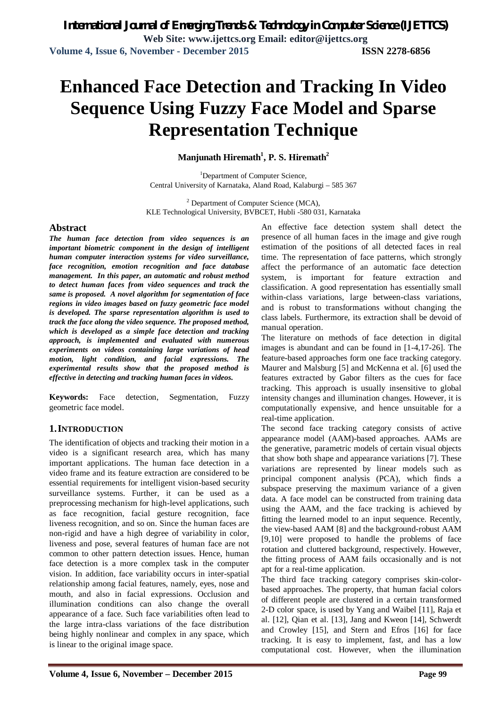# **Enhanced Face Detection and Tracking In Video Sequence Using Fuzzy Face Model and Sparse Representation Technique**

### **Manjunath Hiremath<sup>1</sup> , P. S. Hiremath<sup>2</sup>**

<sup>1</sup>Department of Computer Science, Central University of Karnataka, Aland Road, Kalaburgi – 585 367

<sup>2</sup> Department of Computer Science (MCA), KLE Technological University, BVBCET, Hubli -580 031, Karnataka

#### **Abstract**

*The human face detection from video sequences is an important biometric component in the design of intelligent human computer interaction systems for video surveillance, face recognition, emotion recognition and face database management. In this paper, an automatic and robust method to detect human faces from video sequences and track the same is proposed. A novel algorithm for segmentation of face regions in video images based on fuzzy geometric face model is developed. The sparse representation algorithm is used to track the face along the video sequence. The proposed method, which is developed as a simple face detection and tracking approach, is implemented and evaluated with numerous experiments on videos containing large variations of head motion, light condition, and facial expressions. The experimental results show that the proposed method is effective in detecting and tracking human faces in videos.*

**Keywords:** Face detection, Segmentation, Fuzzy geometric face model.

#### **1.INTRODUCTION**

The identification of objects and tracking their motion in a video is a significant research area, which has many important applications. The human face detection in a video frame and its feature extraction are considered to be essential requirements for intelligent vision-based security surveillance systems. Further, it can be used as a preprocessing mechanism for high-level applications, such as face recognition, facial gesture recognition, face liveness recognition, and so on. Since the human faces are non-rigid and have a high degree of variability in color, liveness and pose, several features of human face are not common to other pattern detection issues. Hence, human face detection is a more complex task in the computer vision. In addition, face variability occurs in inter-spatial relationship among facial features, namely, eyes, nose and mouth, and also in facial expressions. Occlusion and illumination conditions can also change the overall appearance of a face. Such face variabilities often lead to the large intra-class variations of the face distribution being highly nonlinear and complex in any space, which is linear to the original image space.

An effective face detection system shall detect the presence of all human faces in the image and give rough estimation of the positions of all detected faces in real time. The representation of face patterns, which strongly affect the performance of an automatic face detection system, is important for feature extraction and classification. A good representation has essentially small within-class variations, large between-class variations, and is robust to transformations without changing the class labels. Furthermore, its extraction shall be devoid of manual operation.

The literature on methods of face detection in digital images is abundant and can be found in [1-4,17-26]. The feature-based approaches form one face tracking category. Maurer and Malsburg [5] and McKenna et al. [6] used the features extracted by Gabor filters as the cues for face tracking. This approach is usually insensitive to global intensity changes and illumination changes. However, it is computationally expensive, and hence unsuitable for a real-time application.

The second face tracking category consists of active appearance model (AAM)-based approaches. AAMs are the generative, parametric models of certain visual objects that show both shape and appearance variations [7]. These variations are represented by linear models such as principal component analysis (PCA), which finds a subspace preserving the maximum variance of a given data. A face model can be constructed from training data using the AAM, and the face tracking is achieved by fitting the learned model to an input sequence. Recently, the view-based AAM [8] and the background-robust AAM [9,10] were proposed to handle the problems of face rotation and cluttered background, respectively. However, the fitting process of AAM fails occasionally and is not apt for a real-time application.

The third face tracking category comprises skin-colorbased approaches. The property, that human facial colors of different people are clustered in a certain transformed 2-D color space, is used by Yang and Waibel [11], Raja et al. [12], Qian et al. [13], Jang and Kweon [14], Schwerdt and Crowley [15], and Stern and Efros [16] for face tracking. It is easy to implement, fast, and has a low computational cost. However, when the illumination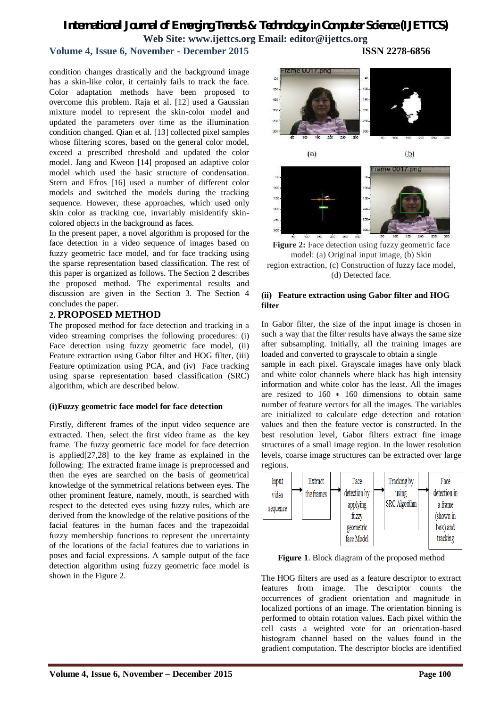## **Volume 4, Issue 6, November - December 2015 ISSN 2278-6856**

condition changes drastically and the background image has a skin-like color, it certainly fails to track the face. Color adaptation methods have been proposed to overcome this problem. Raja et al. [12] used a Gaussian mixture model to represent the skin-color model and updated the parameters over time as the illumination condition changed. Qian et al. [13] collected pixel samples whose filtering scores, based on the general color model, exceed a prescribed threshold and updated the color model. Jang and Kweon [14] proposed an adaptive color model which used the basic structure of condensation. Stern and Efros [16] used a number of different color models and switched the models during the tracking sequence. However, these approaches, which used only skin color as tracking cue, invariably misidentify skincolored objects in the background as faces.

In the present paper, a novel algorithm is proposed for the face detection in a video sequence of images based on fuzzy geometric face model, and for face tracking using the sparse representation based classification. The rest of this paper is organized as follows. The Section 2 describes the proposed method. The experimental results and discussion are given in the Section 3. The Section 4 concludes the paper.

#### **2. PROPOSED METHOD**

The proposed method for face detection and tracking in a video streaming comprises the following procedures: (i) Face detection using fuzzy geometric face model, (ii) Feature extraction using Gabor filter and HOG filter, (iii) Feature optimization using PCA, and (iv) Face tracking using sparse representation based classification (SRC) algorithm, which are described below.

#### **(i)Fuzzy geometric face model for face detection**

Firstly, different frames of the input video sequence are extracted. Then, select the first video frame as the key frame. The fuzzy geometric face model for face detection is applied[27,28] to the key frame as explained in the following: The extracted frame image is preprocessed and then the eyes are searched on the basis of geometrical knowledge of the symmetrical relations between eyes. The other prominent feature, namely, mouth, is searched with respect to the detected eyes using fuzzy rules, which are derived from the knowledge of the relative positions of the facial features in the human faces and the trapezoidal fuzzy membership functions to represent the uncertainty of the locations of the facial features due to variations in poses and facial expressions. A sample output of the face detection algorithm using fuzzy geometric face model is shown in the Figure 2.

rame 0017 pnc  $rac{1}{200}$ is. i.  $(a)$  $(b)$  $\infty$ 



#### **(ii) Feature extraction using Gabor filter and HOG filter**

In Gabor filter, the size of the input image is chosen in such a way that the filter results have always the same size after subsampling. Initially, all the training images are loaded and converted to grayscale to obtain a single

sample in each pixel. Grayscale images have only black and white color channels where black has high intensity information and white color has the least. All the images are resized to 160 ∗ 160 dimensions to obtain same number of feature vectors for all the images. The variables are initialized to calculate edge detection and rotation values and then the feature vector is constructed. In the best resolution level, Gabor filters extract fine image structures of a small image region. In the lower resolution levels, coarse image structures can be extracted over large regions.



**Figure 1**. Block diagram of the proposed method

The HOG filters are used as a feature descriptor to extract features from image. The descriptor counts the occurrences of gradient orientation and magnitude in localized portions of an image. The orientation binning is performed to obtain rotation values. Each pixel within the cell casts a weighted vote for an orientation-based histogram channel based on the values found in the gradient computation. The descriptor blocks are identified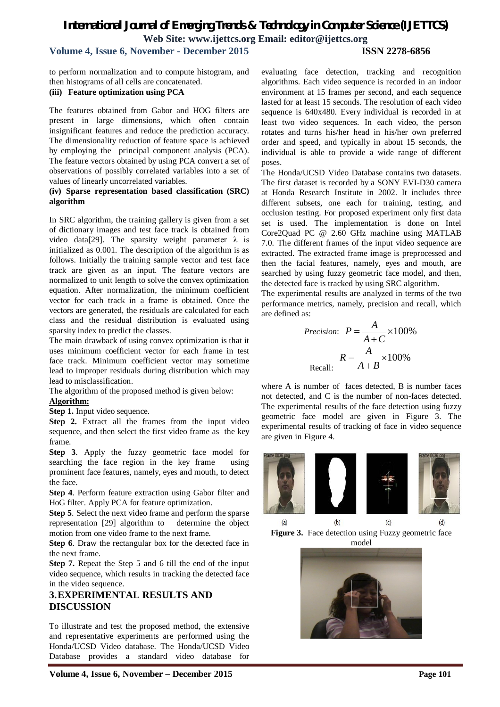# **Volume 4, Issue 6, November - December 2015 ISSN 2278-6856**

to perform normalization and to compute histogram, and then histograms of all cells are concatenated.

#### **(iii) Feature optimization using PCA**

The features obtained from Gabor and HOG filters are present in large dimensions, which often contain insignificant features and reduce the prediction accuracy. The dimensionality reduction of feature space is achieved by employing the principal component analysis (PCA). The feature vectors obtained by using PCA convert a set of observations of possibly correlated variables into a set of values of linearly uncorrelated variables.

#### **(iv) Sparse representation based classification (SRC) algorithm**

In SRC algorithm, the training gallery is given from a set of dictionary images and test face track is obtained from video data[29]. The sparsity weight parameter  $\lambda$  is initialized as 0.001. The description of the algorithm is as follows. Initially the training sample vector and test face track are given as an input. The feature vectors are normalized to unit length to solve the convex optimization equation. After normalization, the minimum coefficient vector for each track in a frame is obtained. Once the vectors are generated, the residuals are calculated for each class and the residual distribution is evaluated using sparsity index to predict the classes.

The main drawback of using convex optimization is that it uses minimum coefficient vector for each frame in test face track. Minimum coefficient vector may sometime lead to improper residuals during distribution which may lead to misclassification.

The algorithm of the proposed method is given below:

#### **Algorithm:**

**Step 1.** Input video sequence.

**Step 2.** Extract all the frames from the input video sequence, and then select the first video frame as the key frame.

**Step 3**. Apply the fuzzy geometric face model for searching the face region in the key frame using prominent face features, namely, eyes and mouth, to detect the face.

**Step 4**. Perform feature extraction using Gabor filter and HoG filter. Apply PCA for feature optimization.

**Step 5**. Select the next video frame and perform the sparse representation [29] algorithm to determine the object motion from one video frame to the next frame.

**Step 6**. Draw the rectangular box for the detected face in the next frame.

**Step 7.** Repeat the Step 5 and 6 till the end of the input video sequence, which results in tracking the detected face in the video sequence.

# **3.EXPERIMENTAL RESULTS AND DISCUSSION**

To illustrate and test the proposed method, the extensive and representative experiments are performed using the Honda/UCSD Video database. The Honda/UCSD Video Database provides a standard video database for

evaluating face detection, tracking and recognition algorithms. Each video sequence is recorded in an indoor environment at 15 frames per second, and each sequence lasted for at least 15 seconds. The resolution of each video sequence is 640x480. Every individual is recorded in at least two video sequences. In each video, the person rotates and turns his/her head in his/her own preferred order and speed, and typically in about 15 seconds, the individual is able to provide a wide range of different poses.

The Honda/UCSD Video Database contains two datasets. The first dataset is recorded by a SONY EVI-D30 camera at Honda Research Institute in 2002. It includes three different subsets, one each for training, testing, and occlusion testing. For proposed experiment only first data set is used. The implementation is done on Intel Core2Quad PC @ 2.60 GHz machine using MATLAB 7.0. The different frames of the input video sequence are extracted. The extracted frame image is preprocessed and then the facial features, namely, eyes and mouth, are searched by using fuzzy geometric face model, and then, the detected face is tracked by using SRC algorithm.

The experimental results are analyzed in terms of the two performance metrics, namely, precision and recall, which are defined as:

$$
Precision: P = \frac{A}{A+C} \times 100\%
$$

$$
R = \frac{A}{A+B} \times 100\%
$$
Recall:

where A is number of faces detected, B is number faces not detected, and C is the number of non-faces detected. The experimental results of the face detection using fuzzy geometric face model are given in Figure 3. The experimental results of tracking of face in video sequence are given in Figure 4.



**Figure 3.** Face detection using Fuzzy geometric face model

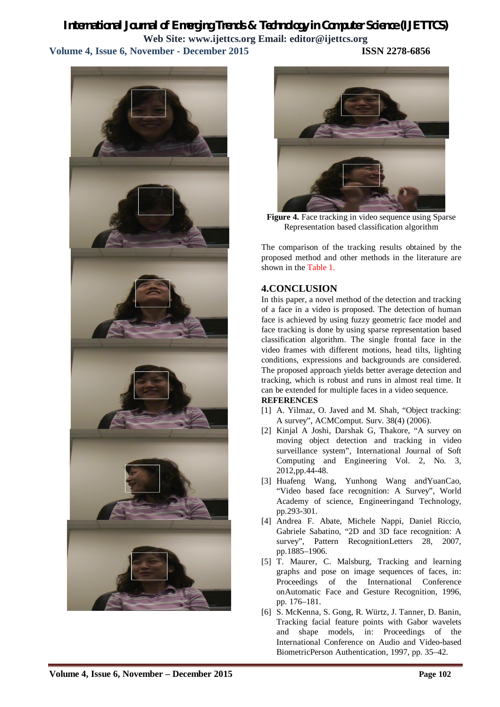# *International Journal of Emerging Trends & Technology in Computer Science (IJETTCS)* **Web Site: www.ijettcs.org Email: editor@ijettcs.org Volume 4, Issue 6, November - December 2015 ISSN 2278-6856**





**Figure 4.** Face tracking in video sequence using Sparse Representation based classification algorithm

The comparison of the tracking results obtained by the proposed method and other methods in the literature are shown in the Table 1.

## **4.CONCLUSION**

In this paper, a novel method of the detection and tracking of a face in a video is proposed. The detection of human face is achieved by using fuzzy geometric face model and face tracking is done by using sparse representation based classification algorithm. The single frontal face in the video frames with different motions, head tilts, lighting conditions, expressions and backgrounds are considered. The proposed approach yields better average detection and tracking, which is robust and runs in almost real time. It can be extended for multiple faces in a video sequence.

#### **REFERENCES**

- [1] A. Yilmaz, O. Javed and M. Shah, "Object tracking: A survey", ACMComput. Surv. 38(4) (2006).
- [2] Kinjal A Joshi, Darshak G, Thakore, "A survey on moving object detection and tracking in video surveillance system", International Journal of Soft Computing and Engineering Vol. 2, No. 3, 2012,pp.44-48.
- [3] Huafeng Wang, Yunhong Wang andYuanCao, "Video based face recognition: A Survey", World Academy of science, Engineeringand Technology, pp.293-301.
- [4] Andrea F. Abate, Michele Nappi, Daniel Riccio, Gabriele Sabatino, "2D and 3D face recognition: A survey", Pattern RecognitionLetters 28, 2007, pp.1885–1906.
- [5] T. Maurer, C. Malsburg, Tracking and learning graphs and pose on image sequences of faces, in: Proceedings of the International Conference onAutomatic Face and Gesture Recognition, 1996, pp. 176–181.
- [6] S. McKenna, S. Gong, R. Würtz, J. Tanner, D. Banin, Tracking facial feature points with Gabor wavelets and shape models, in: Proceedings of the International Conference on Audio and Video-based BiometricPerson Authentication, 1997, pp. 35–42.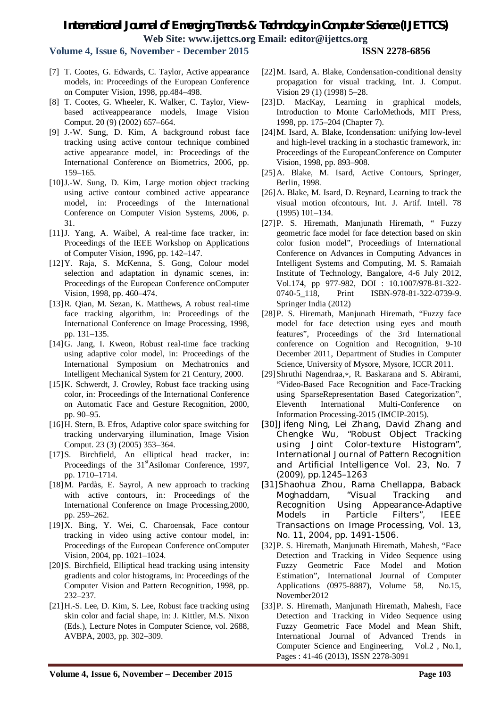**Volume 4, Issue 6, November - December 2015 ISSN 2278-6856**

- [7] T. Cootes, G. Edwards, C. Taylor, Active appearance models, in: Proceedings of the European Conference on Computer Vision, 1998, pp.484–498.
- [8] T. Cootes, G. Wheeler, K. Walker, C. Taylor, Viewbased activeappearance models, Image Vision Comput. 20 (9) (2002) 657–664.
- [9] J.-W. Sung, D. Kim, A background robust face tracking using active contour technique combined active appearance model, in: Proceedings of the International Conference on Biometrics, 2006, pp. 159–165.
- [10]J.-W. Sung, D. Kim, Large motion object tracking using active contour combined active appearance model, in: Proceedings of the International Conference on Computer Vision Systems, 2006, p. 31.
- [11]J. Yang, A. Waibel, A real-time face tracker, in: Proceedings of the IEEE Workshop on Applications of Computer Vision, 1996, pp. 142–147.
- [12]Y. Raja, S. McKenna, S. Gong, Colour model selection and adaptation in dynamic scenes, in: Proceedings of the European Conference onComputer Vision, 1998, pp. 460–474.
- [13]R. Qian, M. Sezan, K. Matthews, A robust real-time face tracking algorithm, in: Proceedings of the International Conference on Image Processing, 1998, pp. 131–135.
- [14]G. Jang, I. Kweon, Robust real-time face tracking using adaptive color model, in: Proceedings of the International Symposium on Mechatronics and Intelligent Mechanical System for 21 Century, 2000.
- [15] K. Schwerdt, J. Crowley, Robust face tracking using color, in: Proceedings of the International Conference on Automatic Face and Gesture Recognition, 2000, pp. 90–95.
- [16]H. Stern, B. Efros, Adaptive color space switching for tracking undervarying illumination, Image Vision Comput. 23 (3) (2005) 353–364.
- [17]S. Birchfield, An elliptical head tracker, in: Proceedings of the 31<sup>st</sup>Asilomar Conference, 1997, pp. 1710–1714.
- [18]M. Pardàs, E. Sayrol, A new approach to tracking with active contours, in: Proceedings of the International Conference on Image Processing,2000, pp. 259–262.
- [19]X. Bing, Y. Wei, C. Charoensak, Face contour tracking in video using active contour model, in: Proceedings of the European Conference onComputer Vision, 2004, pp. 1021–1024.
- [20]S. Birchfield, Elliptical head tracking using intensity gradients and color histograms, in: Proceedings of the Computer Vision and Pattern Recognition, 1998, pp. 232–237.
- [21]H.-S. Lee, D. Kim, S. Lee, Robust face tracking using skin color and facial shape, in: J. Kittler, M.S. Nixon (Eds.), Lecture Notes in Computer Science, vol. 2688, AVBPA, 2003, pp. 302–309.
- [22]M. Isard, A. Blake, Condensation-conditional density propagation for visual tracking, Int. J. Comput. Vision 29 (1) (1998) 5–28.
- [23]D. MacKay, Learning in graphical models, Introduction to Monte CarloMethods, MIT Press, 1998, pp. 175–204 (Chapter 7).
- [24]M. Isard, A. Blake, Icondensation: unifying low-level and high-level tracking in a stochastic framework, in: Proceedings of the EuropeanConference on Computer Vision, 1998, pp. 893–908.
- [25]A. Blake, M. Isard, Active Contours, Springer, Berlin, 1998.
- [26]A. Blake, M. Isard, D. Reynard, Learning to track the visual motion ofcontours, Int. J. Artif. Intell. 78 (1995) 101–134.
- [27]P. S. Hiremath, Manjunath Hiremath, " Fuzzy geometric face model for face detection based on skin color fusion model", Proceedings of International Conference on Advances in Computing Advances in Intelligent Systems and Computing, M. S. Ramaiah Institute of Technology, Bangalore, 4-6 July 2012, Vol.174, pp 977-982, DOI : 10.1007/978-81-322- 0740-5 118, Print ISBN-978-81-322-0739-9. Springer India (2012)
- [28]P. S. Hiremath, Manjunath Hiremath, "Fuzzy face model for face detection using eyes and mouth features", Proceedings of the 3rd International conference on Cognition and Recognition, 9-10 December 2011, Department of Studies in Computer Science, University of Mysore, Mysore, ICCR 2011.
- [29]Shruthi Nagendraa,∗, R. Baskarana and S. Abirami, "Video-Based Face Recognition and Face-Tracking using SparseRepresentation Based Categorization", Eleventh International Multi-Conference on Information Processing-2015 (IMCIP-2015).
- [30] Jifeng Ning, Lei Zhang, David Zhang and Chengke Wu, "Robust Object Tracking using Joint Color-texture Histogram", International Journal of Pattern Recognition and Artificial Intelligence Vol. 23, No. 7 (2009), pp.1245–1263
- [31]Shaohua Zhou, Rama Chellappa, Baback Moghaddam, "Visual Tracking and Recognition Using Appearance-Adaptive Models in Particle Filters", IEEE Transactions on Image Processing, Vol. 13, No. 11, 2004, pp. 1491-1506.
- [32]P. S. Hiremath, Manjunath Hiremath, Mahesh, "Face Detection and Tracking in Video Sequence using Fuzzy Geometric Face Model and Motion Estimation", International Journal of Computer Applications (0975-8887), Volume 58, No.15, November2012
- [33]P. S. Hiremath, Manjunath Hiremath, Mahesh, Face Detection and Tracking in Video Sequence using Fuzzy Geometric Face Model and Mean Shift, International Journal of Advanced Trends in Computer Science and Engineering, Vol.2 , No.1, Pages : 41-46 (2013), ISSN 2278-3091